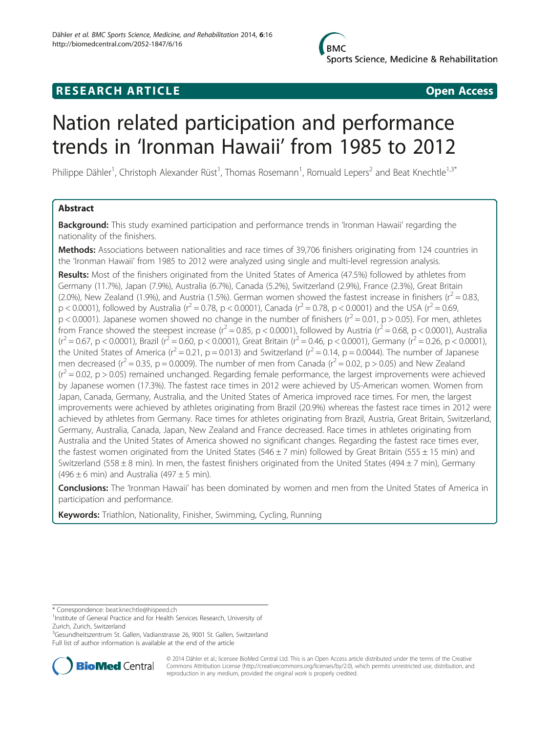## **RESEARCH ARTICLE Example 2008 CONSIDERING CONSIDERING CONSIDERING CONSIDERING CONSIDERING CONSIDERING CONSIDERING CONSIDERING CONSIDERING CONSIDERING CONSIDERING CONSIDERING CONSIDERING CONSIDERING CONSIDERING CONSIDE**

# Nation related participation and performance trends in 'Ironman Hawaii' from 1985 to 2012

Philippe Dähler<sup>1</sup>, Christoph Alexander Rüst<sup>1</sup>, Thomas Rosemann<sup>1</sup>, Romuald Lepers<sup>2</sup> and Beat Knechtle<sup>1,3\*</sup>

## Abstract

**Background:** This study examined participation and performance trends in 'Ironman Hawaii' regarding the nationality of the finishers.

Methods: Associations between nationalities and race times of 39,706 finishers originating from 124 countries in the 'Ironman Hawaii' from 1985 to 2012 were analyzed using single and multi-level regression analysis.

Results: Most of the finishers originated from the United States of America (47.5%) followed by athletes from Germany (11.7%), Japan (7.9%), Australia (6.7%), Canada (5.2%), Switzerland (2.9%), France (2.3%), Great Britain (2.0%), New Zealand (1.9%), and Austria (1.5%). German women showed the fastest increase in finishers ( $r^2 = 0.83$ ,  $p < 0.0001$ ), followed by Australia ( $r^2 = 0.78$ ,  $p < 0.0001$ ), Canada ( $r^2 = 0.78$ ,  $p < 0.0001$ ) and the USA ( $r^2 = 0.69$ ,  $p < 0.0001$ ). Japanese women showed no change in the number of finishers ( $r^2 = 0.01$ ,  $p > 0.05$ ). For men, athletes from France showed the steepest increase ( $r^2 = 0.85$ , p < 0.0001), followed by Austria ( $r^2 = 0.68$ , p < 0.0001), Australia  $(r^2 = 0.67, p < 0.0001)$ , Brazil ( $r^2 = 0.60, p < 0.0001$ ), Great Britain ( $r^2 = 0.46, p < 0.0001$ ), Germany ( $r^2 = 0.26, p < 0.0001$ ), the United States of America ( $r^2$  = 0.21, p = 0.013) and Switzerland ( $r^2$  = 0.14, p = 0.0044). The number of Japanese men decreased ( $r^2$  = 0.35, p = 0.0009). The number of men from Canada ( $r^2$  = 0.02, p > 0.05) and New Zealand  $(r^2 = 0.02, p > 0.05)$  remained unchanged. Regarding female performance, the largest improvements were achieved by Japanese women (17.3%). The fastest race times in 2012 were achieved by US-American women. Women from Japan, Canada, Germany, Australia, and the United States of America improved race times. For men, the largest improvements were achieved by athletes originating from Brazil (20.9%) whereas the fastest race times in 2012 were achieved by athletes from Germany. Race times for athletes originating from Brazil, Austria, Great Britain, Switzerland, Germany, Australia, Canada, Japan, New Zealand and France decreased. Race times in athletes originating from Australia and the United States of America showed no significant changes. Regarding the fastest race times ever, the fastest women originated from the United States (546  $\pm$  7 min) followed by Great Britain (555  $\pm$  15 min) and Switzerland (558  $\pm$  8 min). In men, the fastest finishers originated from the United States (494  $\pm$  7 min), Germany  $(496 \pm 6 \text{ min})$  and Australia  $(497 \pm 5 \text{ min})$ .

Conclusions: The 'Ironman Hawaii' has been dominated by women and men from the United States of America in participation and performance.

Keywords: Triathlon, Nationality, Finisher, Swimming, Cycling, Running

<sup>3</sup>Gesundheitszentrum St. Gallen, Vadianstrasse 26, 9001 St. Gallen, Switzerland Full list of author information is available at the end of the article



© 2014 Dähler et al.; licensee BioMed Central Ltd. This is an Open Access article distributed under the terms of the Creative Commons Attribution License [\(http://creativecommons.org/licenses/by/2.0\)](http://creativecommons.org/licenses/by/2.0), which permits unrestricted use, distribution, and reproduction in any medium, provided the original work is properly credited.

<sup>\*</sup> Correspondence: [beat.knechtle@hispeed.ch](mailto:beat.knechtle@hispeed.ch) <sup>1</sup>

<sup>&</sup>lt;sup>1</sup>Institute of General Practice and for Health Services Research, University of Zurich, Zurich, Switzerland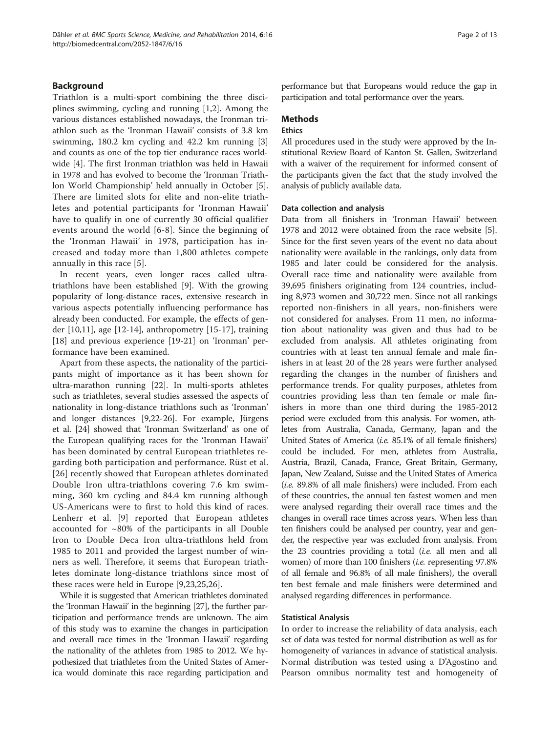## Background

Triathlon is a multi-sport combining the three disciplines swimming, cycling and running [[1,2\]](#page-12-0). Among the various distances established nowadays, the Ironman triathlon such as the 'Ironman Hawaii' consists of 3.8 km swimming, 180.2 km cycling and 42.2 km running [\[3](#page-12-0)] and counts as one of the top tier endurance races worldwide [\[4](#page-12-0)]. The first Ironman triathlon was held in Hawaii in 1978 and has evolved to become the 'Ironman Triathlon World Championship' held annually in October [\[5](#page-12-0)]. There are limited slots for elite and non-elite triathletes and potential participants for 'Ironman Hawaii' have to qualify in one of currently 30 official qualifier events around the world [[6-8\]](#page-12-0). Since the beginning of the 'Ironman Hawaii' in 1978, participation has increased and today more than 1,800 athletes compete annually in this race [[5](#page-12-0)].

In recent years, even longer races called ultratriathlons have been established [[9\]](#page-12-0). With the growing popularity of long-distance races, extensive research in various aspects potentially influencing performance has already been conducted. For example, the effects of gender [[10,11](#page-12-0)], age [\[12-14](#page-12-0)], anthropometry [[15-17\]](#page-12-0), training [[18\]](#page-12-0) and previous experience [\[19](#page-12-0)-[21\]](#page-12-0) on 'Ironman' performance have been examined.

Apart from these aspects, the nationality of the participants might of importance as it has been shown for ultra-marathon running [[22\]](#page-12-0). In multi-sports athletes such as triathletes, several studies assessed the aspects of nationality in long-distance triathlons such as 'Ironman' and longer distances [\[9,22](#page-12-0)-[26\]](#page-12-0). For example, Jürgens et al. [[24](#page-12-0)] showed that 'Ironman Switzerland' as one of the European qualifying races for the 'Ironman Hawaii' has been dominated by central European triathletes regarding both participation and performance. Rüst et al. [[26](#page-12-0)] recently showed that European athletes dominated Double Iron ultra-triathlons covering 7.6 km swimming, 360 km cycling and 84.4 km running although US-Americans were to first to hold this kind of races. Lenherr et al. [[9\]](#page-12-0) reported that European athletes accounted for ~80% of the participants in all Double Iron to Double Deca Iron ultra-triathlons held from 1985 to 2011 and provided the largest number of winners as well. Therefore, it seems that European triathletes dominate long-distance triathlons since most of these races were held in Europe [[9,23,25](#page-12-0),[26\]](#page-12-0).

While it is suggested that American triathletes dominated the 'Ironman Hawaii' in the beginning [\[27\]](#page-12-0), the further participation and performance trends are unknown. The aim of this study was to examine the changes in participation and overall race times in the 'Ironman Hawaii' regarding the nationality of the athletes from 1985 to 2012. We hypothesized that triathletes from the United States of America would dominate this race regarding participation and

## **Methods**

## **Ethics**

All procedures used in the study were approved by the Institutional Review Board of Kanton St. Gallen, Switzerland with a waiver of the requirement for informed consent of the participants given the fact that the study involved the analysis of publicly available data.

## Data collection and analysis

Data from all finishers in 'Ironman Hawaii' between 1978 and 2012 were obtained from the race website [\[5](#page-12-0)]. Since for the first seven years of the event no data about nationality were available in the rankings, only data from 1985 and later could be considered for the analysis. Overall race time and nationality were available from 39,695 finishers originating from 124 countries, including 8,973 women and 30,722 men. Since not all rankings reported non-finishers in all years, non-finishers were not considered for analyses. From 11 men, no information about nationality was given and thus had to be excluded from analysis. All athletes originating from countries with at least ten annual female and male finishers in at least 20 of the 28 years were further analysed regarding the changes in the number of finishers and performance trends. For quality purposes, athletes from countries providing less than ten female or male finishers in more than one third during the 1985-2012 period were excluded from this analysis. For women, athletes from Australia, Canada, Germany, Japan and the United States of America (i.e. 85.1% of all female finishers) could be included. For men, athletes from Australia, Austria, Brazil, Canada, France, Great Britain, Germany, Japan, New Zealand, Suisse and the United States of America (i.e. 89.8% of all male finishers) were included. From each of these countries, the annual ten fastest women and men were analysed regarding their overall race times and the changes in overall race times across years. When less than ten finishers could be analysed per country, year and gender, the respective year was excluded from analysis. From the 23 countries providing a total  $(i.e.$  all men and all women) of more than 100 finishers *(i.e.* representing 97.8% of all female and 96.8% of all male finishers), the overall ten best female and male finishers were determined and analysed regarding differences in performance.

### Statistical Analysis

In order to increase the reliability of data analysis, each set of data was tested for normal distribution as well as for homogeneity of variances in advance of statistical analysis. Normal distribution was tested using a D'Agostino and Pearson omnibus normality test and homogeneity of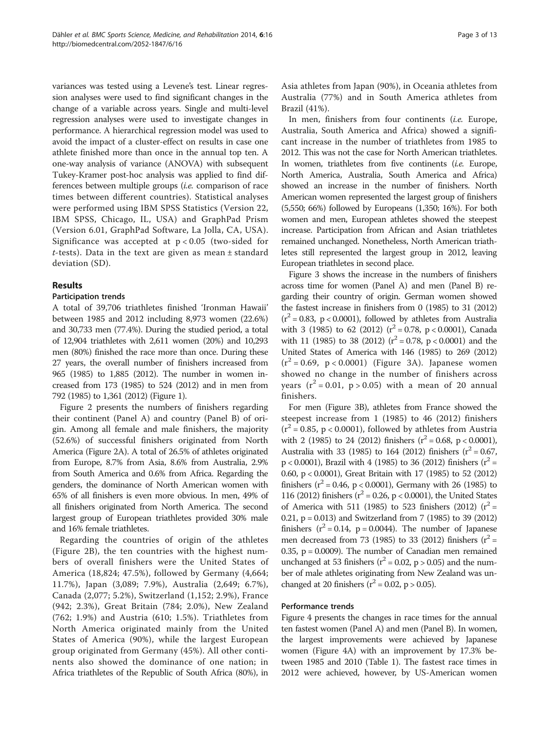variances was tested using a Levene's test. Linear regression analyses were used to find significant changes in the change of a variable across years. Single and multi-level regression analyses were used to investigate changes in performance. A hierarchical regression model was used to avoid the impact of a cluster-effect on results in case one athlete finished more than once in the annual top ten. A one-way analysis of variance (ANOVA) with subsequent Tukey-Kramer post-hoc analysis was applied to find differences between multiple groups (i.e. comparison of race times between different countries). Statistical analyses were performed using IBM SPSS Statistics (Version 22, IBM SPSS, Chicago, IL, USA) and GraphPad Prism (Version 6.01, GraphPad Software, La Jolla, CA, USA).

Significance was accepted at  $p < 0.05$  (two-sided for  $t$ -tests). Data in the text are given as mean  $\pm$  standard

Results

deviation (SD). Participation trends

A total of 39,706 triathletes finished 'Ironman Hawaii' between 1985 and 2012 including 8,973 women (22.6%) and 30,733 men (77.4%). During the studied period, a total of 12,904 triathletes with 2,611 women (20%) and 10,293 men (80%) finished the race more than once. During these 27 years, the overall number of finishers increased from 965 (1985) to 1,885 (2012). The number in women increased from 173 (1985) to 524 (2012) and in men from 792 (1985) to 1,361 (2012) (Figure [1](#page-3-0)).

Figure [2](#page-4-0) presents the numbers of finishers regarding their continent (Panel A) and country (Panel B) of origin. Among all female and male finishers, the majority (52.6%) of successful finishers originated from North America (Figure [2A](#page-4-0)). A total of 26.5% of athletes originated from Europe, 8.7% from Asia, 8.6% from Australia, 2.9% from South America and 0.6% from Africa. Regarding the genders, the dominance of North American women with 65% of all finishers is even more obvious. In men, 49% of all finishers originated from North America. The second largest group of European triathletes provided 30% male and 16% female triathletes.

Regarding the countries of origin of the athletes (Figure [2](#page-4-0)B), the ten countries with the highest numbers of overall finishers were the United States of America (18,824; 47.5%), followed by Germany (4,664; 11.7%), Japan (3,089; 7.9%), Australia (2,649; 6.7%), Canada (2,077; 5.2%), Switzerland (1,152; 2.9%), France (942; 2.3%), Great Britain (784; 2.0%), New Zealand (762; 1.9%) and Austria (610; 1.5%). Triathletes from North America originated mainly from the United States of America (90%), while the largest European group originated from Germany (45%). All other continents also showed the dominance of one nation; in Africa triathletes of the Republic of South Africa (80%), in Asia athletes from Japan (90%), in Oceania athletes from Australia (77%) and in South America athletes from Brazil (41%).

In men, finishers from four continents (i.e. Europe, Australia, South America and Africa) showed a significant increase in the number of triathletes from 1985 to 2012. This was not the case for North American triathletes. In women, triathletes from five continents (i.e. Europe, North America, Australia, South America and Africa) showed an increase in the number of finishers. North American women represented the largest group of finishers (5,550; 66%) followed by Europeans (1,350; 16%). For both women and men, European athletes showed the steepest increase. Participation from African and Asian triathletes remained unchanged. Nonetheless, North American triathletes still represented the largest group in 2012, leaving European triathletes in second place.

Figure [3](#page-5-0) shows the increase in the numbers of finishers across time for women (Panel A) and men (Panel B) regarding their country of origin. German women showed the fastest increase in finishers from 0 (1985) to 31 (2012)  $(r^2 = 0.83, p < 0.0001)$ , followed by athletes from Australia with 3 (1985) to 62 (2012)  $(r^2 = 0.78, p < 0.0001)$ , Canada with 11 (1985) to 38 (2012)  $(r^2 = 0.78, p < 0.0001)$  and the United States of America with 146 (1985) to 269 (2012)  $(r^2 = 0.69, p < 0.0001)$  (Figure [3A](#page-5-0)). Japanese women showed no change in the number of finishers across years  $(r^2 = 0.01, p > 0.05)$  with a mean of 20 annual finishers.

For men (Figure [3B](#page-5-0)), athletes from France showed the steepest increase from 1 (1985) to 46 (2012) finishers  $(r^2 = 0.85, p < 0.0001)$ , followed by athletes from Austria with 2 (1985) to 24 (2012) finishers  $(r^2 = 0.68, p < 0.0001)$ , Australia with 33 (1985) to 164 (2012) finishers  $(r^2 = 0.67,$  $p < 0.0001$ ), Brazil with 4 (1985) to 36 (2012) finishers ( $r^2 =$ 0.60, p < 0.0001), Great Britain with 17 (1985) to 52 (2012) finishers ( $r^2 = 0.46$ , p < 0.0001), Germany with 26 (1985) to 116 (2012) finishers ( $r^2$  = 0.26, p < 0.0001), the United States of America with 511 (1985) to 523 finishers (2012)  $(r^2 =$ 0.21, p = 0.013) and Switzerland from 7 (1985) to 39 (2012) finishers  $(r^2 = 0.14, p = 0.0044)$ . The number of Japanese men decreased from 73 (1985) to 33 (2012) finishers ( $r^2$  = 0.35, p = 0.0009). The number of Canadian men remained unchanged at 53 finishers ( $r^2$  = 0.02, p > 0.05) and the number of male athletes originating from New Zealand was unchanged at 20 finishers ( $r^2$  = 0.02, p > 0.05).

## Performance trends

Figure [4](#page-6-0) presents the changes in race times for the annual ten fastest women (Panel A) and men (Panel B). In women, the largest improvements were achieved by Japanese women (Figure [4A](#page-6-0)) with an improvement by 17.3% between 1985 and 2010 (Table [1\)](#page-7-0). The fastest race times in 2012 were achieved, however, by US-American women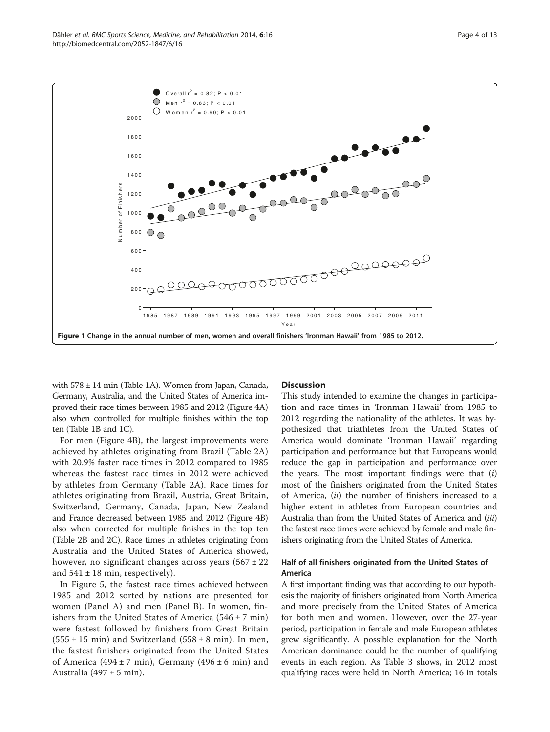<span id="page-3-0"></span>

with 578 ± 14 min (Table [1A](#page-7-0)). Women from Japan, Canada, Germany, Australia, and the United States of America improved their race times between 1985 and 2012 (Figure [4A](#page-6-0)) also when controlled for multiple finishes within the top ten (Table [1](#page-7-0)B and [1C](#page-7-0)).

For men (Figure [4](#page-6-0)B), the largest improvements were achieved by athletes originating from Brazil (Table [2](#page-8-0)A) with 20.9% faster race times in 2012 compared to 1985 whereas the fastest race times in 2012 were achieved by athletes from Germany (Table [2A](#page-8-0)). Race times for athletes originating from Brazil, Austria, Great Britain, Switzerland, Germany, Canada, Japan, New Zealand and France decreased between 1985 and 2012 (Figure [4B](#page-6-0)) also when corrected for multiple finishes in the top ten (Table [2B](#page-8-0) and [2C](#page-8-0)). Race times in athletes originating from Australia and the United States of America showed, however, no significant changes across years  $(567 \pm 22)$ and  $541 \pm 18$  min, respectively).

In Figure [5](#page-9-0), the fastest race times achieved between 1985 and 2012 sorted by nations are presented for women (Panel A) and men (Panel B). In women, finishers from the United States of America  $(546 \pm 7 \text{ min})$ were fastest followed by finishers from Great Britain  $(555 \pm 15 \text{ min})$  and Switzerland  $(558 \pm 8 \text{ min})$ . In men, the fastest finishers originated from the United States of America (494  $\pm$  7 min), Germany (496  $\pm$  6 min) and Australia (497  $\pm$  5 min).

## **Discussion**

This study intended to examine the changes in participation and race times in 'Ironman Hawaii' from 1985 to 2012 regarding the nationality of the athletes. It was hypothesized that triathletes from the United States of America would dominate 'Ironman Hawaii' regarding participation and performance but that Europeans would reduce the gap in participation and performance over the years. The most important findings were that  $(i)$ most of the finishers originated from the United States of America, (ii) the number of finishers increased to a higher extent in athletes from European countries and Australia than from the United States of America and (iii) the fastest race times were achieved by female and male finishers originating from the United States of America.

## Half of all finishers originated from the United States of America

A first important finding was that according to our hypothesis the majority of finishers originated from North America and more precisely from the United States of America for both men and women. However, over the 27-year period, participation in female and male European athletes grew significantly. A possible explanation for the North American dominance could be the number of qualifying events in each region. As Table [3](#page-10-0) shows, in 2012 most qualifying races were held in North America; 16 in totals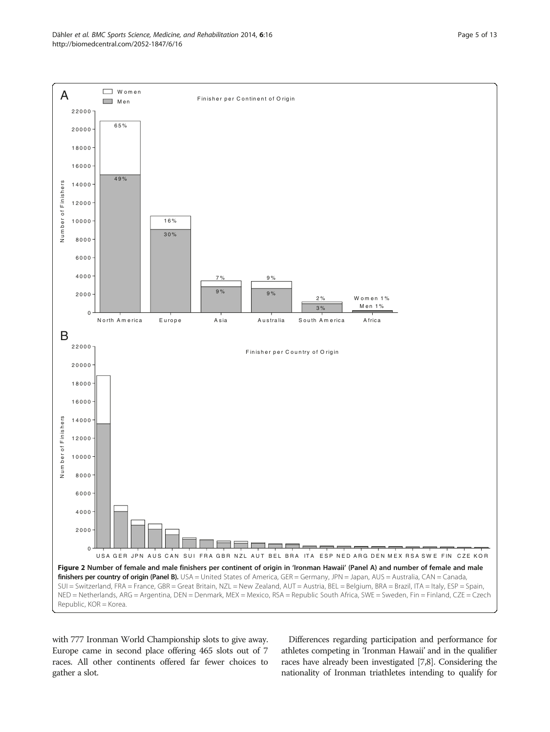<span id="page-4-0"></span>

with 777 Ironman World Championship slots to give away. Europe came in second place offering 465 slots out of 7 races. All other continents offered far fewer choices to gather a slot.

Differences regarding participation and performance for athletes competing in 'Ironman Hawaii' and in the qualifier races have already been investigated [\[7,8\]](#page-12-0). Considering the nationality of Ironman triathletes intending to qualify for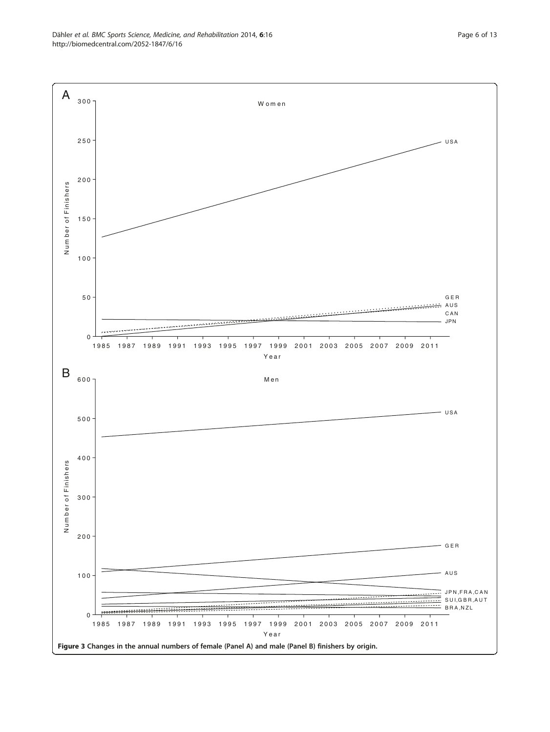<span id="page-5-0"></span>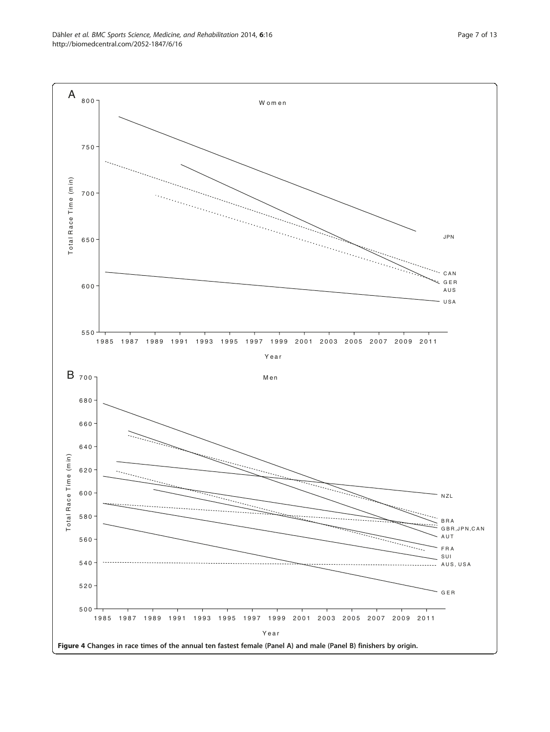<span id="page-6-0"></span>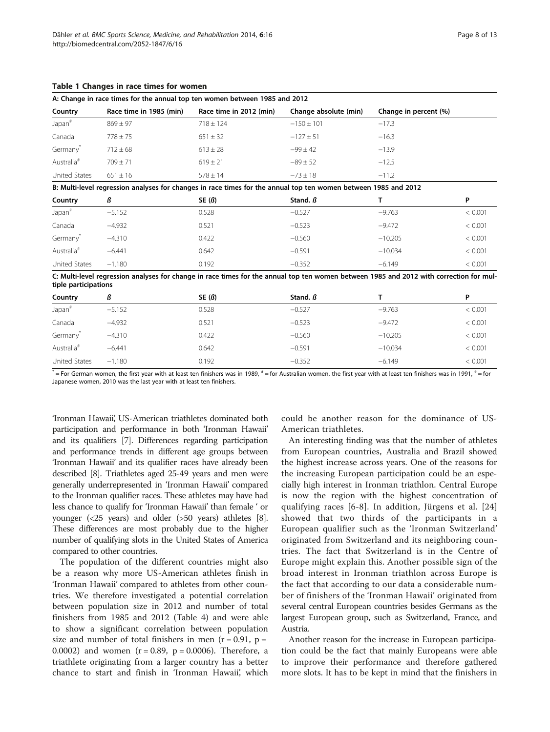| A: Change in race times for the annual top ten women between 1985 and 2012 |                         |                                                                                                                 |                       |                       |  |
|----------------------------------------------------------------------------|-------------------------|-----------------------------------------------------------------------------------------------------------------|-----------------------|-----------------------|--|
| Country                                                                    | Race time in 1985 (min) | Race time in 2012 (min)                                                                                         | Change absolute (min) | Change in percent (%) |  |
| Japan <sup>#</sup>                                                         | $869 + 97$              | $718 + 124$                                                                                                     | $-150 + 101$          | $-17.3$               |  |
| Canada                                                                     | $778 + 75$              | $651 \pm 32$                                                                                                    | $-127 + 51$           | $-16.3$               |  |
| Germany                                                                    | $712 \pm 68$            | $613 + 28$                                                                                                      | $-99 + 42$            | $-13.9$               |  |
| Australia <sup>#</sup>                                                     | $709 + 71$              | $619 + 21$                                                                                                      | $-89 \pm 52$          | $-12.5$               |  |
| United States                                                              | $651 + 16$              | $578 + 14$                                                                                                      | $-73 \pm 18$          | $-11.2$               |  |
|                                                                            |                         | B: Multi-level regression analyses for changes in race times for the annual top ten women between 1985 and 2012 |                       |                       |  |

## <span id="page-7-0"></span>Table 1 Changes in race times for women

|                        | B: Multi-level regression analyses for changes in race times for the annual top ten women between 1985 and 2012 |        |          |           |         |  |
|------------------------|-----------------------------------------------------------------------------------------------------------------|--------|----------|-----------|---------|--|
| Country                | ß                                                                                                               | SE (ß) | Stand, B |           | P       |  |
| Japan <sup>#</sup>     | $-5.152$                                                                                                        | 0.528  | $-0.527$ | $-9.763$  | < 0.001 |  |
| Canada                 | $-4.932$                                                                                                        | 0.521  | $-0.523$ | $-9.472$  | < 0.001 |  |
| Germany                | $-4.310$                                                                                                        | 0.422  | $-0.560$ | $-10.205$ | < 0.001 |  |
| Australia <sup>#</sup> | $-6.441$                                                                                                        | 0.642  | $-0.591$ | $-10.034$ | < 0.001 |  |
| United States          | $-1.180$                                                                                                        | 0.192  | $-0.352$ | $-6.149$  | < 0.001 |  |

C: Multi-level regression analyses for change in race times for the annual top ten women between 1985 and 2012 with correction for multiple participations

| Country                | ß        | $SE(\beta)$ | Stand, B |           | D       |
|------------------------|----------|-------------|----------|-----------|---------|
| Japan <sup>#</sup>     | $-5.152$ | 0.528       | $-0.527$ | $-9.763$  | < 0.001 |
| Canada                 | $-4.932$ | 0.521       | $-0.523$ | $-9.472$  | < 0.001 |
| Germany <sup>*</sup>   | $-4.310$ | 0.422       | $-0.560$ | $-10.205$ | < 0.001 |
| Australia <sup>#</sup> | $-6.441$ | 0.642       | $-0.591$ | $-10.034$ | < 0.001 |
| United States          | $-1.180$ | 0.192       | $-0.352$ | $-6.149$  | < 0.001 |

 $*$  = For German women, the first year with at least ten finishers was in 1989,  $*$  = for Australian women, the first year with at least ten finishers was in 1991,  $*$  = for Japanese women, 2010 was the last year with at least ten finishers.

'Ironman Hawaii, US-American triathletes dominated both ' participation and performance in both 'Ironman Hawaii' and its qualifiers [[7](#page-12-0)]. Differences regarding participation and performance trends in different age groups between 'Ironman Hawaii' and its qualifier races have already been described [[8](#page-12-0)]. Triathletes aged 25-49 years and men were generally underrepresented in 'Ironman Hawaii' compared to the Ironman qualifier races. These athletes may have had less chance to qualify for 'Ironman Hawaii' than female ' or younger (<25 years) and older (>50 years) athletes [[8](#page-12-0)]. These differences are most probably due to the higher number of qualifying slots in the United States of America compared to other countries.

The population of the different countries might also be a reason why more US-American athletes finish in 'Ironman Hawaii' compared to athletes from other countries. We therefore investigated a potential correlation between population size in 2012 and number of total finishers from 1985 and 2012 (Table [4\)](#page-10-0) and were able to show a significant correlation between population size and number of total finishers in men ( $r = 0.91$ ,  $p =$ 0.0002) and women  $(r = 0.89, p = 0.0006)$ . Therefore, a triathlete originating from a larger country has a better chance to start and finish in 'Ironman Hawaii', which could be another reason for the dominance of US-American triathletes.

An interesting finding was that the number of athletes from European countries, Australia and Brazil showed the highest increase across years. One of the reasons for the increasing European participation could be an especially high interest in Ironman triathlon. Central Europe is now the region with the highest concentration of qualifying races [\[6](#page-12-0)-[8](#page-12-0)]. In addition, Jürgens et al. [\[24](#page-12-0)] showed that two thirds of the participants in a European qualifier such as the 'Ironman Switzerland' originated from Switzerland and its neighboring countries. The fact that Switzerland is in the Centre of Europe might explain this. Another possible sign of the broad interest in Ironman triathlon across Europe is the fact that according to our data a considerable number of finishers of the 'Ironman Hawaii' originated from several central European countries besides Germans as the largest European group, such as Switzerland, France, and Austria.

Another reason for the increase in European participation could be the fact that mainly Europeans were able to improve their performance and therefore gathered more slots. It has to be kept in mind that the finishers in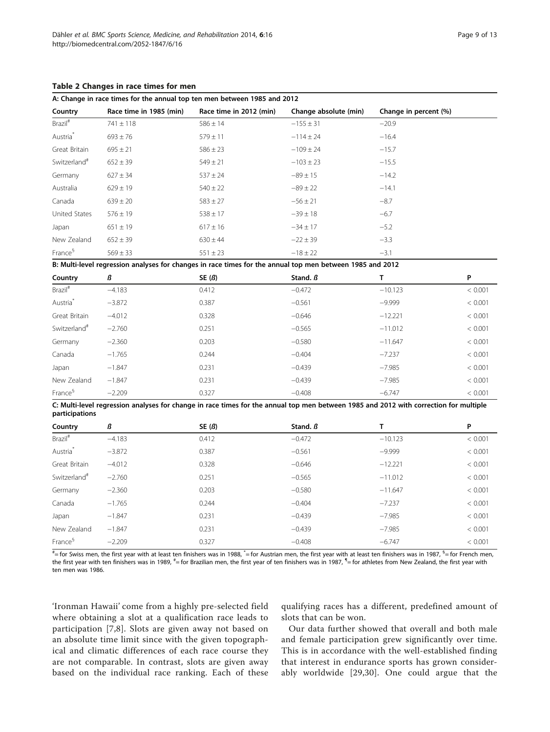## <span id="page-8-0"></span>Table 2 Changes in race times for men

| A: Change in race times for the annual top ten men between 1985 and 2012 |                         |                         |                       |                       |  |
|--------------------------------------------------------------------------|-------------------------|-------------------------|-----------------------|-----------------------|--|
| Country                                                                  | Race time in 1985 (min) | Race time in 2012 (min) | Change absolute (min) | Change in percent (%) |  |
| Brazil <sup>#</sup>                                                      | $741 \pm 118$           | $586 \pm 14$            | $-155 \pm 31$         | $-20.9$               |  |
| Austria <sup>*</sup>                                                     | $693 \pm 76$            | $579 \pm 11$            | $-114 \pm 24$         | $-16.4$               |  |
| Great Britain                                                            | $695 \pm 21$            | $586 \pm 23$            | $-109 \pm 24$         | $-15.7$               |  |
| Switzerland <sup>#</sup>                                                 | $652 \pm 39$            | $549 \pm 21$            | $-103 \pm 23$         | $-15.5$               |  |
| Germany                                                                  | $627 \pm 34$            | $537 \pm 24$            | $-89 \pm 15$          | $-14.2$               |  |
| Australia                                                                | $629 \pm 19$            | $540 \pm 22$            | $-89 \pm 22$          | $-14.1$               |  |
| Canada                                                                   | $639 \pm 20$            | $583 \pm 27$            | $-56 \pm 21$          | $-8.7$                |  |
| <b>United States</b>                                                     | $576 \pm 19$            | $538 \pm 17$            | $-39 \pm 18$          | $-6.7$                |  |
| Japan                                                                    | $651 \pm 19$            | $617 \pm 16$            | $-34 \pm 17$          | $-5.2$                |  |
| New Zealand                                                              | $652 \pm 39$            | $630 \pm 44$            | $-22 \pm 39$          | $-3.3$                |  |
| France <sup>§</sup>                                                      | $569 \pm 33$            | $551 \pm 23$            | $-18 \pm 22$          | $-3.1$                |  |

B: Multi-level regression analyses for changes in race times for the annual top men between 1985 and 2012

| Country                  | ß        | $SE(\beta)$ | Stand. B | Τ         | P       |
|--------------------------|----------|-------------|----------|-----------|---------|
| Brazil <sup>#</sup>      | $-4.183$ | 0.412       | $-0.472$ | $-10.123$ | < 0.001 |
| Austria <sup>*</sup>     | $-3.872$ | 0.387       | $-0.561$ | $-9.999$  | < 0.001 |
| Great Britain            | $-4.012$ | 0.328       | $-0.646$ | $-12.221$ | < 0.001 |
| Switzerland <sup>#</sup> | $-2.760$ | 0.251       | $-0.565$ | $-11.012$ | < 0.001 |
| Germany                  | $-2.360$ | 0.203       | $-0.580$ | $-11.647$ | < 0.001 |
| Canada                   | $-1.765$ | 0.244       | $-0.404$ | $-7.237$  | < 0.001 |
| Japan                    | $-1.847$ | 0.231       | $-0.439$ | $-7.985$  | < 0.001 |
| New Zealand              | $-1.847$ | 0.231       | $-0.439$ | $-7.985$  | < 0.001 |
| France <sup>§</sup>      | $-2.209$ | 0.327       | $-0.408$ | $-6.747$  | < 0.001 |

C: Multi-level regression analyses for change in race times for the annual top men between 1985 and 2012 with correction for multiple participations

| Country                  | ß        | $SE(\beta)$ | Stand, B |           | P       |
|--------------------------|----------|-------------|----------|-----------|---------|
| Brazil <sup>#</sup>      | $-4.183$ | 0.412       | $-0.472$ | $-10.123$ | < 0.001 |
| Austria <sup>*</sup>     | $-3.872$ | 0.387       | $-0.561$ | $-9.999$  | < 0.001 |
| Great Britain            | $-4.012$ | 0.328       | $-0.646$ | $-12.221$ | < 0.001 |
| Switzerland <sup>#</sup> | $-2.760$ | 0.251       | $-0.565$ | $-11.012$ | < 0.001 |
| Germany                  | $-2.360$ | 0.203       | $-0.580$ | $-11.647$ | < 0.001 |
| Canada                   | $-1.765$ | 0.244       | $-0.404$ | $-7.237$  | < 0.001 |
| Japan                    | $-1.847$ | 0.231       | $-0.439$ | $-7.985$  | < 0.001 |
| New Zealand              | $-1.847$ | 0.231       | $-0.439$ | $-7.985$  | < 0.001 |
| France <sup>§</sup>      | $-2.209$ | 0.327       | $-0.408$ | $-6.747$  | < 0.001 |

 $^{\text{\tiny{\textsf{#}}}}$ = for Swiss men, the first year with at least ten finishers was in 1988,  $^{\text{\tiny{\textsf{#}}}}$  for Austrian men, the first year with at least ten finishers was in 1987,  $^{\text{\tiny{\textsf{\$}}}}$  = for French men, the first year with ten finishers was in 1989, <sup>#</sup>= for Brazilian men, the first year of ten finishers was in 1987, "= for athletes from New Zealand, the first year with ten men was 1986.

'Ironman Hawaii' come from a highly pre-selected field where obtaining a slot at a qualification race leads to participation [\[7](#page-12-0),[8\]](#page-12-0). Slots are given away not based on an absolute time limit since with the given topographical and climatic differences of each race course they are not comparable. In contrast, slots are given away based on the individual race ranking. Each of these

qualifying races has a different, predefined amount of slots that can be won.

Our data further showed that overall and both male and female participation grew significantly over time. This is in accordance with the well-established finding that interest in endurance sports has grown considerably worldwide [\[29,30](#page-12-0)]. One could argue that the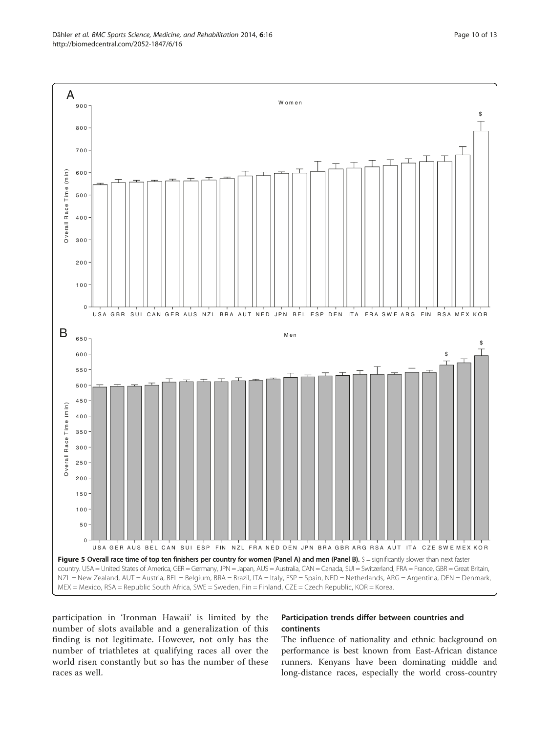<span id="page-9-0"></span>

participation in 'Ironman Hawaii' is limited by the number of slots available and a generalization of this finding is not legitimate. However, not only has the number of triathletes at qualifying races all over the world risen constantly but so has the number of these races as well.

## Participation trends differ between countries and continents

The influence of nationality and ethnic background on performance is best known from East-African distance runners. Kenyans have been dominating middle and long-distance races, especially the world cross-country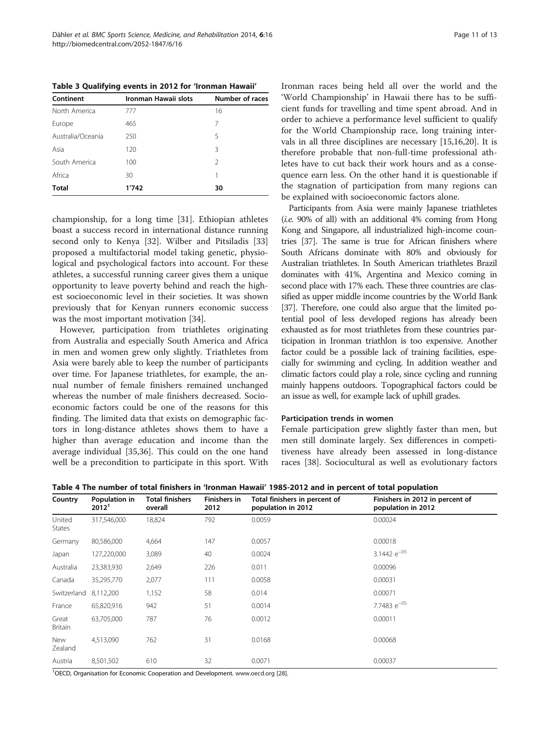<span id="page-10-0"></span>Table 3 Qualifying events in 2012 for 'Ironman Hawaii'

| Continent         | Ironman Hawaii slots | Number of races |
|-------------------|----------------------|-----------------|
| North America     | 777                  | 16              |
| Europe            | 465                  | 7               |
| Australia/Oceania | 250                  | 5               |
| Asia              | 120                  | 3               |
| South America     | 100                  | $\mathcal{P}$   |
| Africa            | 30                   |                 |
| <b>Total</b>      | 1'742                | 30              |

championship, for a long time [\[31](#page-12-0)]. Ethiopian athletes boast a success record in international distance running second only to Kenya [\[32](#page-12-0)]. Wilber and Pitsiladis [[33](#page-12-0)] proposed a multifactorial model taking genetic, physiological and psychological factors into account. For these athletes, a successful running career gives them a unique opportunity to leave poverty behind and reach the highest socioeconomic level in their societies. It was shown previously that for Kenyan runners economic success was the most important motivation [[34\]](#page-12-0).

However, participation from triathletes originating from Australia and especially South America and Africa in men and women grew only slightly. Triathletes from Asia were barely able to keep the number of participants over time. For Japanese triathletes, for example, the annual number of female finishers remained unchanged whereas the number of male finishers decreased. Socioeconomic factors could be one of the reasons for this finding. The limited data that exists on demographic factors in long-distance athletes shows them to have a higher than average education and income than the average individual [[35,36\]](#page-12-0). This could on the one hand well be a precondition to participate in this sport. With Ironman races being held all over the world and the 'World Championship' in Hawaii there has to be sufficient funds for travelling and time spent abroad. And in order to achieve a performance level sufficient to qualify for the World Championship race, long training intervals in all three disciplines are necessary [[15,16,20](#page-12-0)]. It is therefore probable that non-full-time professional athletes have to cut back their work hours and as a consequence earn less. On the other hand it is questionable if the stagnation of participation from many regions can be explained with socioeconomic factors alone.

Participants from Asia were mainly Japanese triathletes (i.e. 90% of all) with an additional 4% coming from Hong Kong and Singapore, all industrialized high-income countries [\[37\]](#page-12-0). The same is true for African finishers where South Africans dominate with 80% and obviously for Australian triathletes. In South American triathletes Brazil dominates with 41%, Argentina and Mexico coming in second place with 17% each. These three countries are classified as upper middle income countries by the World Bank [[37](#page-12-0)]. Therefore, one could also argue that the limited potential pool of less developed regions has already been exhausted as for most triathletes from these countries participation in Ironman triathlon is too expensive. Another factor could be a possible lack of training facilities, especially for swimming and cycling. In addition weather and climatic factors could play a role, since cycling and running mainly happens outdoors. Topographical factors could be an issue as well, for example lack of uphill grades.

## Participation trends in women

Female participation grew slightly faster than men, but men still dominate largely. Sex differences in competitiveness have already been assessed in long-distance races [[38\]](#page-12-0). Sociocultural as well as evolutionary factors

Table 4 The number of total finishers in 'Ironman Hawaii' 1985-2012 and in percent of total population

| Country                 | Population in<br>2012 <sup>1</sup> | <b>Total finishers</b><br>overall | <b>Finishers in</b><br>2012 | Total finishers in percent of<br>population in 2012 | Finishers in 2012 in percent of<br>population in 2012 |
|-------------------------|------------------------------------|-----------------------------------|-----------------------------|-----------------------------------------------------|-------------------------------------------------------|
| United<br><b>States</b> | 317,546,000                        | 18,824                            | 792                         | 0.0059                                              | 0.00024                                               |
| Germany                 | 80,586,000                         | 4,664                             | 147                         | 0.0057                                              | 0.00018                                               |
| Japan                   | 127,220,000                        | 3,089                             | 40                          | 0.0024                                              | 3.1442 $e^{-05}$                                      |
| Australia               | 23,383,930                         | 2,649                             | 226                         | 0.011                                               | 0.00096                                               |
| Canada                  | 35,295,770                         | 2,077                             | 111                         | 0.0058                                              | 0.00031                                               |
| Switzerland             | 8,112,200                          | 1,152                             | 58                          | 0.014                                               | 0.00071                                               |
| France                  | 65,820,916                         | 942                               | 51                          | 0.0014                                              | 7.7483 $e^{-05}$                                      |
| Great<br><b>Britain</b> | 63,705,000                         | 787                               | 76                          | 0.0012                                              | 0.00011                                               |
| <b>New</b><br>Zealand   | 4,513,090                          | 762                               | 31                          | 0.0168                                              | 0.00068                                               |
| Austria                 | 8,501,502                          | 610                               | 32                          | 0.0071                                              | 0.00037                                               |

<sup>1</sup>OECD, Organisation for Economic Cooperation and Development. [www.oecd.org](http://www.oecd.org) [[28\]](#page-12-0).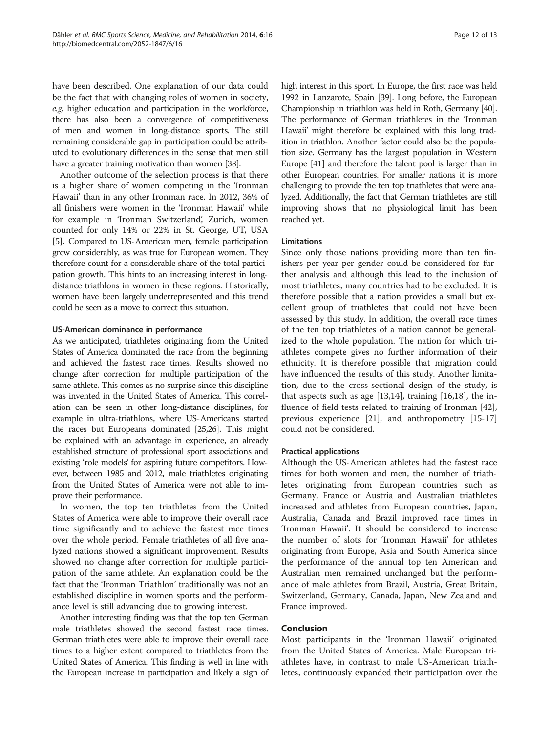have been described. One explanation of our data could be the fact that with changing roles of women in society, e.g. higher education and participation in the workforce, there has also been a convergence of competitiveness of men and women in long-distance sports. The still remaining considerable gap in participation could be attributed to evolutionary differences in the sense that men still have a greater training motivation than women [\[38\]](#page-12-0).

Another outcome of the selection process is that there is a higher share of women competing in the 'Ironman Hawaii' than in any other Ironman race. In 2012, 36% of all finishers were women in the 'Ironman Hawaii' while for example in 'Ironman Switzerland', Zurich, women counted for only 14% or 22% in St. George, UT, USA [[5\]](#page-12-0). Compared to US-American men, female participation grew considerably, as was true for European women. They therefore count for a considerable share of the total participation growth. This hints to an increasing interest in longdistance triathlons in women in these regions. Historically, women have been largely underrepresented and this trend could be seen as a move to correct this situation.

## US-American dominance in performance

As we anticipated, triathletes originating from the United States of America dominated the race from the beginning and achieved the fastest race times. Results showed no change after correction for multiple participation of the same athlete. This comes as no surprise since this discipline was invented in the United States of America. This correlation can be seen in other long-distance disciplines, for example in ultra-triathlons, where US-Americans started the races but Europeans dominated [[25,26\]](#page-12-0). This might be explained with an advantage in experience, an already established structure of professional sport associations and existing 'role models' for aspiring future competitors. However, between 1985 and 2012, male triathletes originating from the United States of America were not able to improve their performance.

In women, the top ten triathletes from the United States of America were able to improve their overall race time significantly and to achieve the fastest race times over the whole period. Female triathletes of all five analyzed nations showed a significant improvement. Results showed no change after correction for multiple participation of the same athlete. An explanation could be the fact that the 'Ironman Triathlon' traditionally was not an established discipline in women sports and the performance level is still advancing due to growing interest.

Another interesting finding was that the top ten German male triathletes showed the second fastest race times. German triathletes were able to improve their overall race times to a higher extent compared to triathletes from the United States of America. This finding is well in line with the European increase in participation and likely a sign of

high interest in this sport. In Europe, the first race was held 1992 in Lanzarote, Spain [\[39\]](#page-12-0). Long before, the European Championship in triathlon was held in Roth, Germany [\[40](#page-12-0)]. The performance of German triathletes in the 'Ironman Hawaii' might therefore be explained with this long tradition in triathlon. Another factor could also be the population size. Germany has the largest population in Western Europe [\[41\]](#page-12-0) and therefore the talent pool is larger than in other European countries. For smaller nations it is more challenging to provide the ten top triathletes that were analyzed. Additionally, the fact that German triathletes are still improving shows that no physiological limit has been reached yet.

## Limitations

Since only those nations providing more than ten finishers per year per gender could be considered for further analysis and although this lead to the inclusion of most triathletes, many countries had to be excluded. It is therefore possible that a nation provides a small but excellent group of triathletes that could not have been assessed by this study. In addition, the overall race times of the ten top triathletes of a nation cannot be generalized to the whole population. The nation for which triathletes compete gives no further information of their ethnicity. It is therefore possible that migration could have influenced the results of this study. Another limitation, due to the cross-sectional design of the study, is that aspects such as age  $[13,14]$ , training  $[16,18]$ , the influence of field tests related to training of Ironman [\[42](#page-12-0)], previous experience [[21\]](#page-12-0), and anthropometry [\[15](#page-12-0)-[17](#page-12-0)] could not be considered.

#### Practical applications

Although the US-American athletes had the fastest race times for both women and men, the number of triathletes originating from European countries such as Germany, France or Austria and Australian triathletes increased and athletes from European countries, Japan, Australia, Canada and Brazil improved race times in 'Ironman Hawaii'. It should be considered to increase the number of slots for 'Ironman Hawaii' for athletes originating from Europe, Asia and South America since the performance of the annual top ten American and Australian men remained unchanged but the performance of male athletes from Brazil, Austria, Great Britain, Switzerland, Germany, Canada, Japan, New Zealand and France improved.

## Conclusion

Most participants in the 'Ironman Hawaii' originated from the United States of America. Male European triathletes have, in contrast to male US-American triathletes, continuously expanded their participation over the